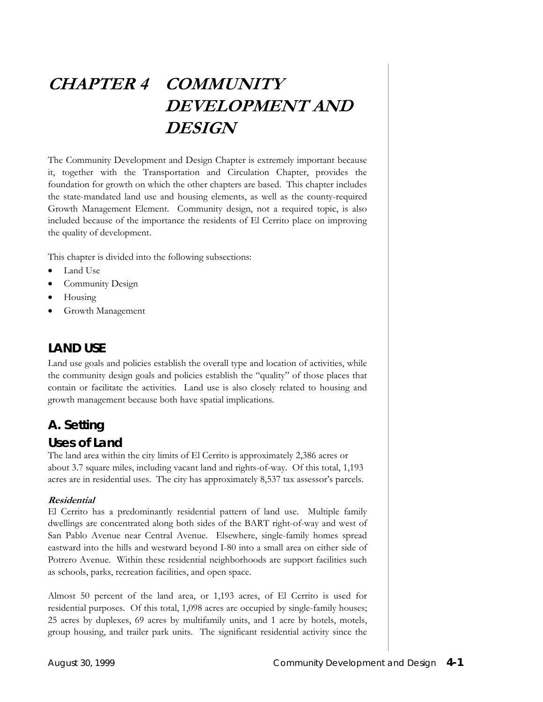# **CHAPTER 4 COMMUNITY DEVELOPMENT AND DESIGN**

The Community Development and Design Chapter is extremely important because it, together with the Transportation and Circulation Chapter, provides the foundation for growth on which the other chapters are based. This chapter includes the state-mandated land use and housing elements, as well as the county-required Growth Management Element. Community design, not a required topic, is also included because of the importance the residents of El Cerrito place on improving the quality of development.

This chapter is divided into the following subsections:

- Land Use
- Community Design
- Housing
- Growth Management

### **LAND USE**

Land use goals and policies establish the overall type and location of activities, while the community design goals and policies establish the "quality" of those places that contain or facilitate the activities. Land use is also closely related to housing and growth management because both have spatial implications.

# **A. Setting**

### *Uses of Land*

The land area within the city limits of El Cerrito is approximately 2,386 acres or about 3.7 square miles, including vacant land and rights-of-way. Of this total, 1,193 acres are in residential uses. The city has approximately 8,537 tax assessor's parcels.

#### **Residential**

El Cerrito has a predominantly residential pattern of land use. Multiple family dwellings are concentrated along both sides of the BART right-of-way and west of San Pablo Avenue near Central Avenue. Elsewhere, single-family homes spread eastward into the hills and westward beyond I-80 into a small area on either side of Potrero Avenue. Within these residential neighborhoods are support facilities such as schools, parks, recreation facilities, and open space.

Almost 50 percent of the land area, or 1,193 acres, of El Cerrito is used for residential purposes. Of this total, 1,098 acres are occupied by single-family houses; 25 acres by duplexes, 69 acres by multifamily units, and 1 acre by hotels, motels, group housing, and trailer park units. The significant residential activity since the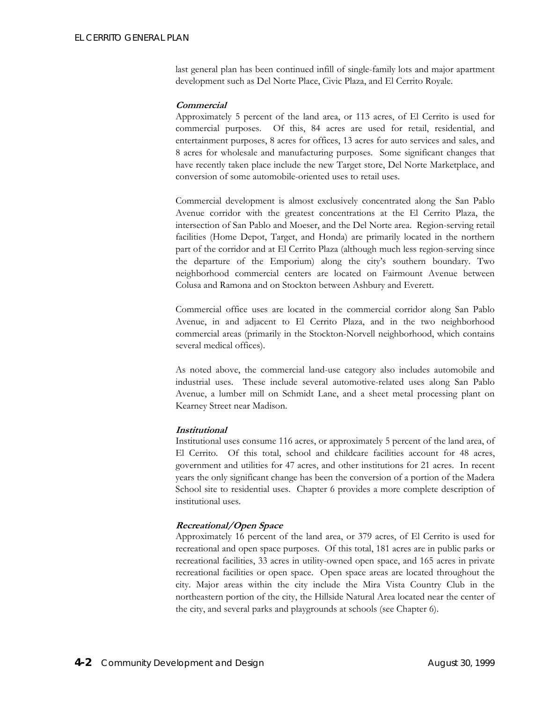last general plan has been continued infill of single-family lots and major apartment development such as Del Norte Place, Civic Plaza, and El Cerrito Royale.

#### **Commercial**

Approximately 5 percent of the land area, or 113 acres, of El Cerrito is used for commercial purposes. Of this, 84 acres are used for retail, residential, and entertainment purposes, 8 acres for offices, 13 acres for auto services and sales, and 8 acres for wholesale and manufacturing purposes. Some significant changes that have recently taken place include the new Target store, Del Norte Marketplace, and conversion of some automobile-oriented uses to retail uses.

Commercial development is almost exclusively concentrated along the San Pablo Avenue corridor with the greatest concentrations at the El Cerrito Plaza, the intersection of San Pablo and Moeser, and the Del Norte area. Region-serving retail facilities (Home Depot, Target, and Honda) are primarily located in the northern part of the corridor and at El Cerrito Plaza (although much less region-serving since the departure of the Emporium) along the city's southern boundary. Two neighborhood commercial centers are located on Fairmount Avenue between Colusa and Ramona and on Stockton between Ashbury and Everett.

Commercial office uses are located in the commercial corridor along San Pablo Avenue, in and adjacent to El Cerrito Plaza, and in the two neighborhood commercial areas (primarily in the Stockton-Norvell neighborhood, which contains several medical offices).

As noted above, the commercial land-use category also includes automobile and industrial uses. These include several automotive-related uses along San Pablo Avenue, a lumber mill on Schmidt Lane, and a sheet metal processing plant on Kearney Street near Madison.

#### **Institutional**

Institutional uses consume 116 acres, or approximately 5 percent of the land area, of El Cerrito. Of this total, school and childcare facilities account for 48 acres, government and utilities for 47 acres, and other institutions for 21 acres. In recent years the only significant change has been the conversion of a portion of the Madera School site to residential uses. Chapter 6 provides a more complete description of institutional uses.

#### **Recreational/Open Space**

Approximately 16 percent of the land area, or 379 acres, of El Cerrito is used for recreational and open space purposes. Of this total, 181 acres are in public parks or recreational facilities, 33 acres in utility-owned open space, and 165 acres in private recreational facilities or open space. Open space areas are located throughout the city. Major areas within the city include the Mira Vista Country Club in the northeastern portion of the city, the Hillside Natural Area located near the center of the city, and several parks and playgrounds at schools (see Chapter 6).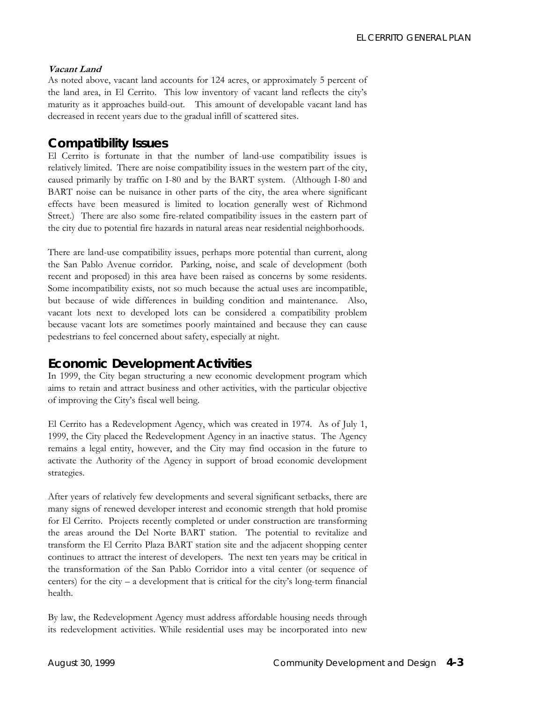### **Vacant Land**

As noted above, vacant land accounts for 124 acres, or approximately 5 percent of the land area, in El Cerrito. This low inventory of vacant land reflects the city's maturity as it approaches build-out. This amount of developable vacant land has decreased in recent years due to the gradual infill of scattered sites.

# *Compatibility Issues*

El Cerrito is fortunate in that the number of land-use compatibility issues is relatively limited. There are noise compatibility issues in the western part of the city, caused primarily by traffic on I-80 and by the BART system. (Although I-80 and BART noise can be nuisance in other parts of the city, the area where significant effects have been measured is limited to location generally west of Richmond Street.) There are also some fire-related compatibility issues in the eastern part of the city due to potential fire hazards in natural areas near residential neighborhoods.

There are land-use compatibility issues, perhaps more potential than current, along the San Pablo Avenue corridor. Parking, noise, and scale of development (both recent and proposed) in this area have been raised as concerns by some residents. Some incompatibility exists, not so much because the actual uses are incompatible, but because of wide differences in building condition and maintenance. Also, vacant lots next to developed lots can be considered a compatibility problem because vacant lots are sometimes poorly maintained and because they can cause pedestrians to feel concerned about safety, especially at night.

# *Economic Development Activities*

In 1999, the City began structuring a new economic development program which aims to retain and attract business and other activities, with the particular objective of improving the City's fiscal well being.

El Cerrito has a Redevelopment Agency, which was created in 1974. As of July 1, 1999, the City placed the Redevelopment Agency in an inactive status. The Agency remains a legal entity, however, and the City may find occasion in the future to activate the Authority of the Agency in support of broad economic development strategies.

After years of relatively few developments and several significant setbacks, there are many signs of renewed developer interest and economic strength that hold promise for El Cerrito. Projects recently completed or under construction are transforming the areas around the Del Norte BART station. The potential to revitalize and transform the El Cerrito Plaza BART station site and the adjacent shopping center continues to attract the interest of developers. The next ten years may be critical in the transformation of the San Pablo Corridor into a vital center (or sequence of centers) for the city – a development that is critical for the city's long-term financial health.

By law, the Redevelopment Agency must address affordable housing needs through its redevelopment activities. While residential uses may be incorporated into new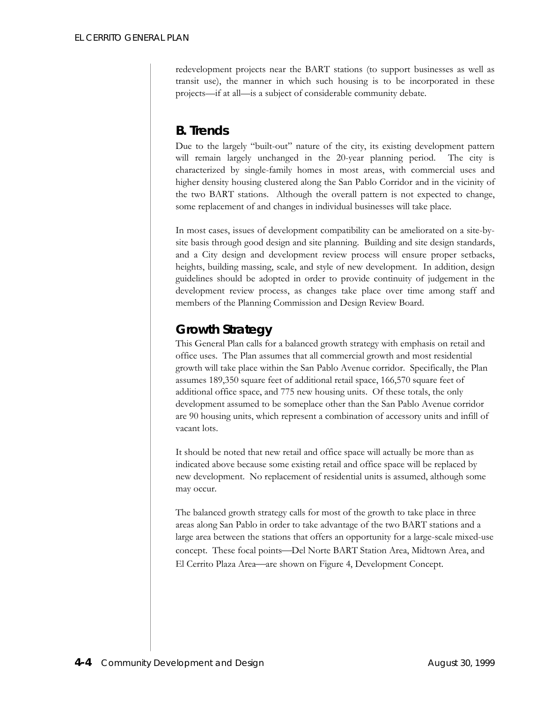redevelopment projects near the BART stations (to support businesses as well as transit use), the manner in which such housing is to be incorporated in these projects—if at all—is a subject of considerable community debate.

# **B. Trends**

Due to the largely "built-out" nature of the city, its existing development pattern will remain largely unchanged in the 20-year planning period. The city is characterized by single-family homes in most areas, with commercial uses and higher density housing clustered along the San Pablo Corridor and in the vicinity of the two BART stations. Although the overall pattern is not expected to change, some replacement of and changes in individual businesses will take place.

In most cases, issues of development compatibility can be ameliorated on a site-bysite basis through good design and site planning. Building and site design standards, and a City design and development review process will ensure proper setbacks, heights, building massing, scale, and style of new development. In addition, design guidelines should be adopted in order to provide continuity of judgement in the development review process, as changes take place over time among staff and members of the Planning Commission and Design Review Board.

# *Growth Strategy*

This General Plan calls for a balanced growth strategy with emphasis on retail and office uses. The Plan assumes that all commercial growth and most residential growth will take place within the San Pablo Avenue corridor. Specifically, the Plan assumes 189,350 square feet of additional retail space, 166,570 square feet of additional office space, and 775 new housing units. Of these totals, the only development assumed to be someplace other than the San Pablo Avenue corridor are 90 housing units, which represent a combination of accessory units and infill of vacant lots.

It should be noted that new retail and office space will actually be more than as indicated above because some existing retail and office space will be replaced by new development. No replacement of residential units is assumed, although some may occur.

The balanced growth strategy calls for most of the growth to take place in three areas along San Pablo in order to take advantage of the two BART stations and a large area between the stations that offers an opportunity for a large-scale mixed-use concept. These focal points-Del Norte BART Station Area, Midtown Area, and El Cerrito Plaza Area—are shown on Figure 4, Development Concept.